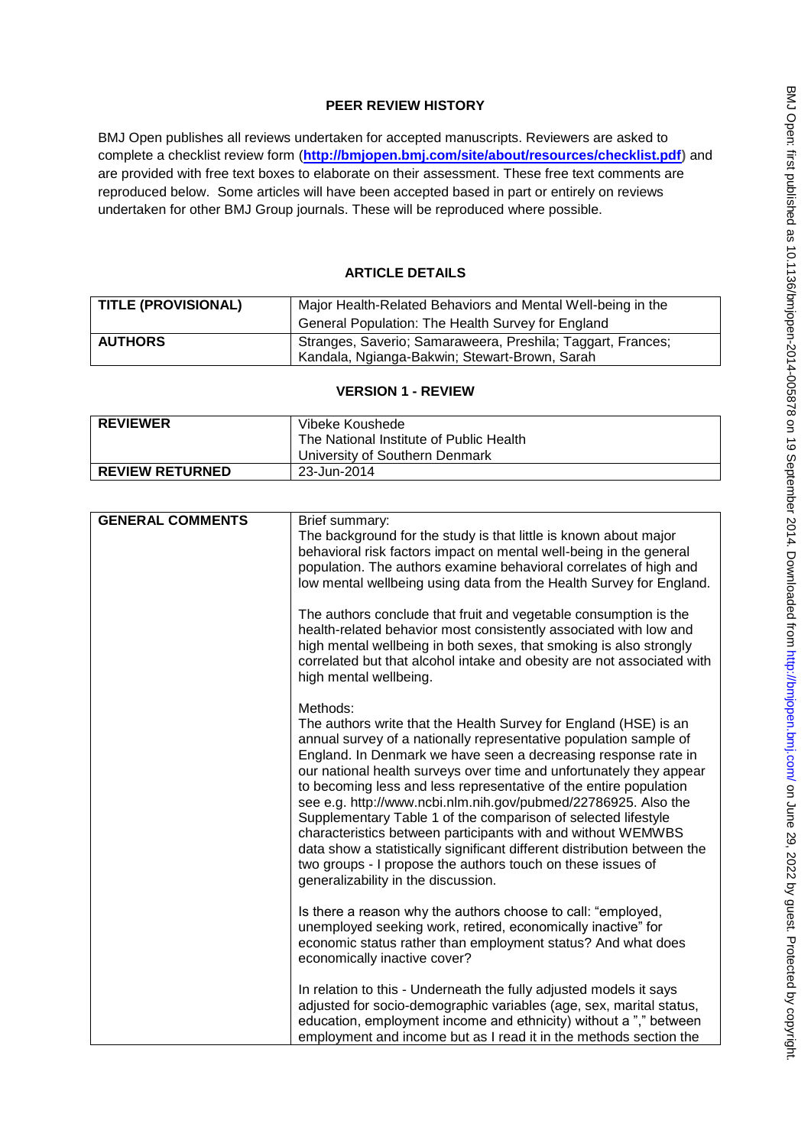# **PEER REVIEW HISTORY**

BMJ Open publishes all reviews undertaken for accepted manuscripts. Reviewers are asked to complete a checklist review form (**[http://bmjopen.bmj.com/site/about/resources/checklist.pdf\)](http://bmjopen.bmj.com/site/about/resources/checklist.pdf)** and are provided with free text boxes to elaborate on their assessment. These free text comments are reproduced below. Some articles will have been accepted based in part or entirely on reviews undertaken for other BMJ Group journals. These will be reproduced where possible.

# **ARTICLE DETAILS**

| <b>TITLE (PROVISIONAL)</b> | Major Health-Related Behaviors and Mental Well-being in the                                                  |
|----------------------------|--------------------------------------------------------------------------------------------------------------|
|                            | General Population: The Health Survey for England                                                            |
| <b>AUTHORS</b>             | Stranges, Saverio; Samaraweera, Preshila; Taggart, Frances;<br>Kandala, Ngianga-Bakwin; Stewart-Brown, Sarah |

## **VERSION 1 - REVIEW**

| <b>REVIEWER</b>        | Vibeke Koushede                         |
|------------------------|-----------------------------------------|
|                        | The National Institute of Public Health |
|                        | I University of Southern Denmark        |
| <b>REVIEW RETURNED</b> | 23-Jun-2014                             |

| <b>GENERAL COMMENTS</b> | Brief summary:<br>The background for the study is that little is known about major<br>behavioral risk factors impact on mental well-being in the general<br>population. The authors examine behavioral correlates of high and<br>low mental wellbeing using data from the Health Survey for England.                                                                                                                                                                                                                                                                                                                                                                                                                                                 |
|-------------------------|------------------------------------------------------------------------------------------------------------------------------------------------------------------------------------------------------------------------------------------------------------------------------------------------------------------------------------------------------------------------------------------------------------------------------------------------------------------------------------------------------------------------------------------------------------------------------------------------------------------------------------------------------------------------------------------------------------------------------------------------------|
|                         | The authors conclude that fruit and vegetable consumption is the<br>health-related behavior most consistently associated with low and<br>high mental wellbeing in both sexes, that smoking is also strongly<br>correlated but that alcohol intake and obesity are not associated with<br>high mental wellbeing.                                                                                                                                                                                                                                                                                                                                                                                                                                      |
|                         | Methods:<br>The authors write that the Health Survey for England (HSE) is an<br>annual survey of a nationally representative population sample of<br>England. In Denmark we have seen a decreasing response rate in<br>our national health surveys over time and unfortunately they appear<br>to becoming less and less representative of the entire population<br>see e.g. http://www.ncbi.nlm.nih.gov/pubmed/22786925. Also the<br>Supplementary Table 1 of the comparison of selected lifestyle<br>characteristics between participants with and without WEMWBS<br>data show a statistically significant different distribution between the<br>two groups - I propose the authors touch on these issues of<br>generalizability in the discussion. |
|                         | Is there a reason why the authors choose to call: "employed,<br>unemployed seeking work, retired, economically inactive" for<br>economic status rather than employment status? And what does<br>economically inactive cover?                                                                                                                                                                                                                                                                                                                                                                                                                                                                                                                         |
|                         | In relation to this - Underneath the fully adjusted models it says<br>adjusted for socio-demographic variables (age, sex, marital status,<br>education, employment income and ethnicity) without a "," between<br>employment and income but as I read it in the methods section the                                                                                                                                                                                                                                                                                                                                                                                                                                                                  |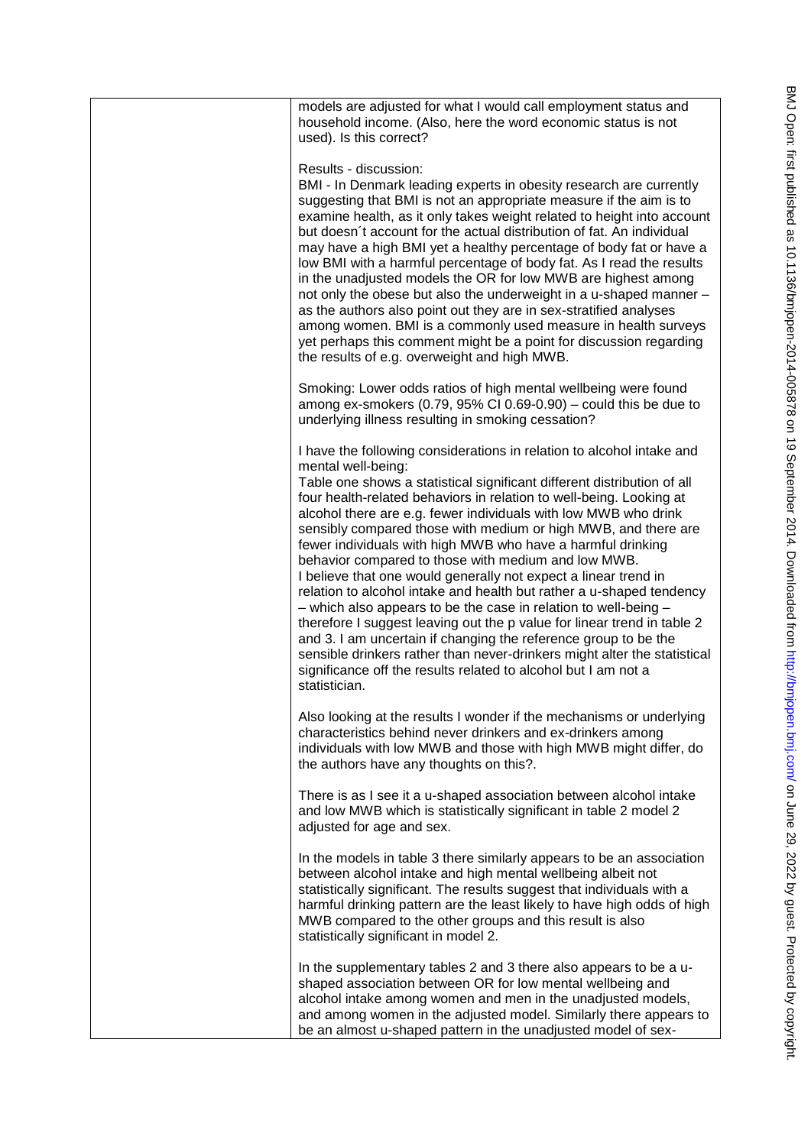| models are adjusted for what I would call employment status and<br>household income. (Also, here the word economic status is not<br>used). Is this correct?                                                                                                                                                                                                                                                                                                                                                                                                                                                                                                                                                                                                                                                                                                                                                                                                                                                                         |
|-------------------------------------------------------------------------------------------------------------------------------------------------------------------------------------------------------------------------------------------------------------------------------------------------------------------------------------------------------------------------------------------------------------------------------------------------------------------------------------------------------------------------------------------------------------------------------------------------------------------------------------------------------------------------------------------------------------------------------------------------------------------------------------------------------------------------------------------------------------------------------------------------------------------------------------------------------------------------------------------------------------------------------------|
| Results - discussion:<br>BMI - In Denmark leading experts in obesity research are currently<br>suggesting that BMI is not an appropriate measure if the aim is to<br>examine health, as it only takes weight related to height into account<br>but doesn't account for the actual distribution of fat. An individual<br>may have a high BMI yet a healthy percentage of body fat or have a<br>low BMI with a harmful percentage of body fat. As I read the results<br>in the unadjusted models the OR for low MWB are highest among<br>not only the obese but also the underweight in a u-shaped manner -<br>as the authors also point out they are in sex-stratified analyses<br>among women. BMI is a commonly used measure in health surveys<br>yet perhaps this comment might be a point for discussion regarding<br>the results of e.g. overweight and high MWB.                                                                                                                                                               |
| Smoking: Lower odds ratios of high mental wellbeing were found<br>among ex-smokers (0.79, 95% CI 0.69-0.90) - could this be due to<br>underlying illness resulting in smoking cessation?                                                                                                                                                                                                                                                                                                                                                                                                                                                                                                                                                                                                                                                                                                                                                                                                                                            |
| I have the following considerations in relation to alcohol intake and<br>mental well-being:<br>Table one shows a statistical significant different distribution of all<br>four health-related behaviors in relation to well-being. Looking at<br>alcohol there are e.g. fewer individuals with low MWB who drink<br>sensibly compared those with medium or high MWB, and there are<br>fewer individuals with high MWB who have a harmful drinking<br>behavior compared to those with medium and low MWB.<br>I believe that one would generally not expect a linear trend in<br>relation to alcohol intake and health but rather a u-shaped tendency<br>- which also appears to be the case in relation to well-being -<br>therefore I suggest leaving out the p value for linear trend in table 2<br>and 3. I am uncertain if changing the reference group to be the<br>sensible drinkers rather than never-drinkers might alter the statistical<br>significance off the results related to alcohol but I am not a<br>statistician. |
| Also looking at the results I wonder if the mechanisms or underlying<br>characteristics behind never drinkers and ex-drinkers among<br>individuals with low MWB and those with high MWB might differ, do<br>the authors have any thoughts on this?.                                                                                                                                                                                                                                                                                                                                                                                                                                                                                                                                                                                                                                                                                                                                                                                 |
| There is as I see it a u-shaped association between alcohol intake<br>and low MWB which is statistically significant in table 2 model 2<br>adjusted for age and sex.                                                                                                                                                                                                                                                                                                                                                                                                                                                                                                                                                                                                                                                                                                                                                                                                                                                                |
| In the models in table 3 there similarly appears to be an association<br>between alcohol intake and high mental wellbeing albeit not<br>statistically significant. The results suggest that individuals with a<br>harmful drinking pattern are the least likely to have high odds of high<br>MWB compared to the other groups and this result is also<br>statistically significant in model 2.                                                                                                                                                                                                                                                                                                                                                                                                                                                                                                                                                                                                                                      |
| In the supplementary tables 2 and 3 there also appears to be a u-<br>shaped association between OR for low mental wellbeing and<br>alcohol intake among women and men in the unadjusted models,<br>and among women in the adjusted model. Similarly there appears to<br>be an almost u-shaped pattern in the unadjusted model of sex-                                                                                                                                                                                                                                                                                                                                                                                                                                                                                                                                                                                                                                                                                               |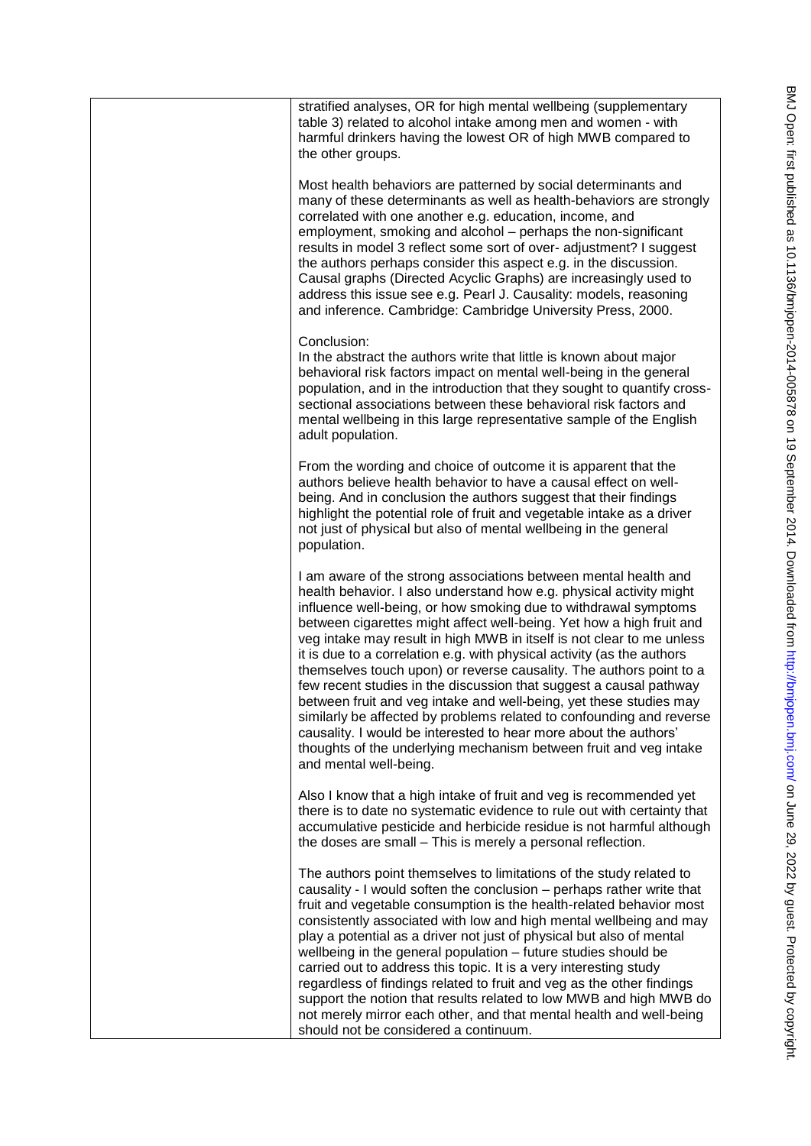| stratified analyses, OR for high mental wellbeing (supplementary<br>table 3) related to alcohol intake among men and women - with<br>harmful drinkers having the lowest OR of high MWB compared to<br>the other groups.                                                                                                                                                                                                                                                                                                                                                                                                                                                                                                                                                                                                                                                                            |
|----------------------------------------------------------------------------------------------------------------------------------------------------------------------------------------------------------------------------------------------------------------------------------------------------------------------------------------------------------------------------------------------------------------------------------------------------------------------------------------------------------------------------------------------------------------------------------------------------------------------------------------------------------------------------------------------------------------------------------------------------------------------------------------------------------------------------------------------------------------------------------------------------|
| Most health behaviors are patterned by social determinants and<br>many of these determinants as well as health-behaviors are strongly<br>correlated with one another e.g. education, income, and<br>employment, smoking and alcohol – perhaps the non-significant<br>results in model 3 reflect some sort of over- adjustment? I suggest<br>the authors perhaps consider this aspect e.g. in the discussion.<br>Causal graphs (Directed Acyclic Graphs) are increasingly used to<br>address this issue see e.g. Pearl J. Causality: models, reasoning<br>and inference. Cambridge: Cambridge University Press, 2000.                                                                                                                                                                                                                                                                               |
| Conclusion:<br>In the abstract the authors write that little is known about major<br>behavioral risk factors impact on mental well-being in the general<br>population, and in the introduction that they sought to quantify cross-<br>sectional associations between these behavioral risk factors and<br>mental wellbeing in this large representative sample of the English<br>adult population.                                                                                                                                                                                                                                                                                                                                                                                                                                                                                                 |
| From the wording and choice of outcome it is apparent that the<br>authors believe health behavior to have a causal effect on well-<br>being. And in conclusion the authors suggest that their findings<br>highlight the potential role of fruit and vegetable intake as a driver<br>not just of physical but also of mental wellbeing in the general<br>population.                                                                                                                                                                                                                                                                                                                                                                                                                                                                                                                                |
| I am aware of the strong associations between mental health and<br>health behavior. I also understand how e.g. physical activity might<br>influence well-being, or how smoking due to withdrawal symptoms<br>between cigarettes might affect well-being. Yet how a high fruit and<br>veg intake may result in high MWB in itself is not clear to me unless<br>it is due to a correlation e.g. with physical activity (as the authors<br>themselves touch upon) or reverse causality. The authors point to a<br>few recent studies in the discussion that suggest a causal pathway<br>between fruit and veg intake and well-being, yet these studies may<br>similarly be affected by problems related to confounding and reverse<br>causality. I would be interested to hear more about the authors'<br>thoughts of the underlying mechanism between fruit and veg intake<br>and mental well-being. |
| Also I know that a high intake of fruit and veg is recommended yet<br>there is to date no systematic evidence to rule out with certainty that<br>accumulative pesticide and herbicide residue is not harmful although<br>the doses are small - This is merely a personal reflection.                                                                                                                                                                                                                                                                                                                                                                                                                                                                                                                                                                                                               |
| The authors point themselves to limitations of the study related to<br>causality - I would soften the conclusion – perhaps rather write that<br>fruit and vegetable consumption is the health-related behavior most<br>consistently associated with low and high mental wellbeing and may<br>play a potential as a driver not just of physical but also of mental<br>wellbeing in the general population - future studies should be<br>carried out to address this topic. It is a very interesting study<br>regardless of findings related to fruit and veg as the other findings<br>support the notion that results related to low MWB and high MWB do<br>not merely mirror each other, and that mental health and well-being<br>should not be considered a continuum.                                                                                                                            |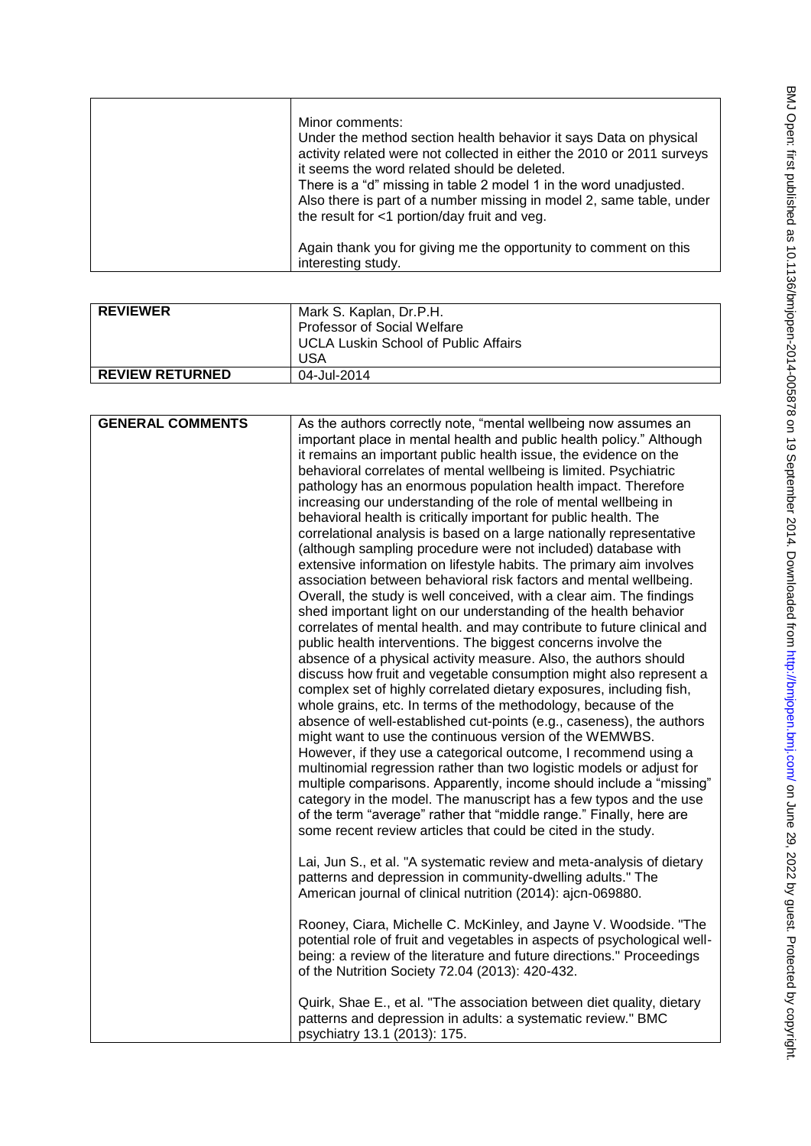| Minor comments:<br>Under the method section health behavior it says Data on physical<br>activity related were not collected in either the 2010 or 2011 surveys<br>it seems the word related should be deleted.<br>There is a "d" missing in table 2 model 1 in the word unadjusted. |
|-------------------------------------------------------------------------------------------------------------------------------------------------------------------------------------------------------------------------------------------------------------------------------------|
| Also there is part of a number missing in model 2, same table, under<br>the result for <1 portion/day fruit and veg.                                                                                                                                                                |
| Again thank you for giving me the opportunity to comment on this<br>interesting study.                                                                                                                                                                                              |

| <b>REVIEWER</b>        | Mark S. Kaplan, Dr.P.H.<br>Professor of Social Welfare<br><b>UCLA Luskin School of Public Affairs</b><br><b>USA</b> |
|------------------------|---------------------------------------------------------------------------------------------------------------------|
| <b>REVIEW RETURNED</b> | 04-Jul-2014                                                                                                         |

| <b>GENERAL COMMENTS</b> | As the authors correctly note, "mental wellbeing now assumes an          |
|-------------------------|--------------------------------------------------------------------------|
|                         | important place in mental health and public health policy." Although     |
|                         | it remains an important public health issue, the evidence on the         |
|                         | behavioral correlates of mental wellbeing is limited. Psychiatric        |
|                         | pathology has an enormous population health impact. Therefore            |
|                         | increasing our understanding of the role of mental wellbeing in          |
|                         | behavioral health is critically important for public health. The         |
|                         | correlational analysis is based on a large nationally representative     |
|                         | (although sampling procedure were not included) database with            |
|                         | extensive information on lifestyle habits. The primary aim involves      |
|                         | association between behavioral risk factors and mental wellbeing.        |
|                         | Overall, the study is well conceived, with a clear aim. The findings     |
|                         | shed important light on our understanding of the health behavior         |
|                         | correlates of mental health. and may contribute to future clinical and   |
|                         | public health interventions. The biggest concerns involve the            |
|                         | absence of a physical activity measure. Also, the authors should         |
|                         | discuss how fruit and vegetable consumption might also represent a       |
|                         | complex set of highly correlated dietary exposures, including fish,      |
|                         | whole grains, etc. In terms of the methodology, because of the           |
|                         | absence of well-established cut-points (e.g., caseness), the authors     |
|                         | might want to use the continuous version of the WEMWBS.                  |
|                         | However, if they use a categorical outcome, I recommend using a          |
|                         | multinomial regression rather than two logistic models or adjust for     |
|                         | multiple comparisons. Apparently, income should include a "missing"      |
|                         | category in the model. The manuscript has a few typos and the use        |
|                         | of the term "average" rather that "middle range." Finally, here are      |
|                         | some recent review articles that could be cited in the study.            |
|                         | Lai, Jun S., et al. "A systematic review and meta-analysis of dietary    |
|                         | patterns and depression in community-dwelling adults." The               |
|                         | American journal of clinical nutrition (2014): ajcn-069880.              |
|                         |                                                                          |
|                         | Rooney, Ciara, Michelle C. McKinley, and Jayne V. Woodside. "The         |
|                         | potential role of fruit and vegetables in aspects of psychological well- |
|                         | being: a review of the literature and future directions." Proceedings    |
|                         | of the Nutrition Society 72.04 (2013): 420-432.                          |
|                         |                                                                          |
|                         | Quirk, Shae E., et al. "The association between diet quality, dietary    |
|                         | patterns and depression in adults: a systematic review." BMC             |
|                         | psychiatry 13.1 (2013): 175.                                             |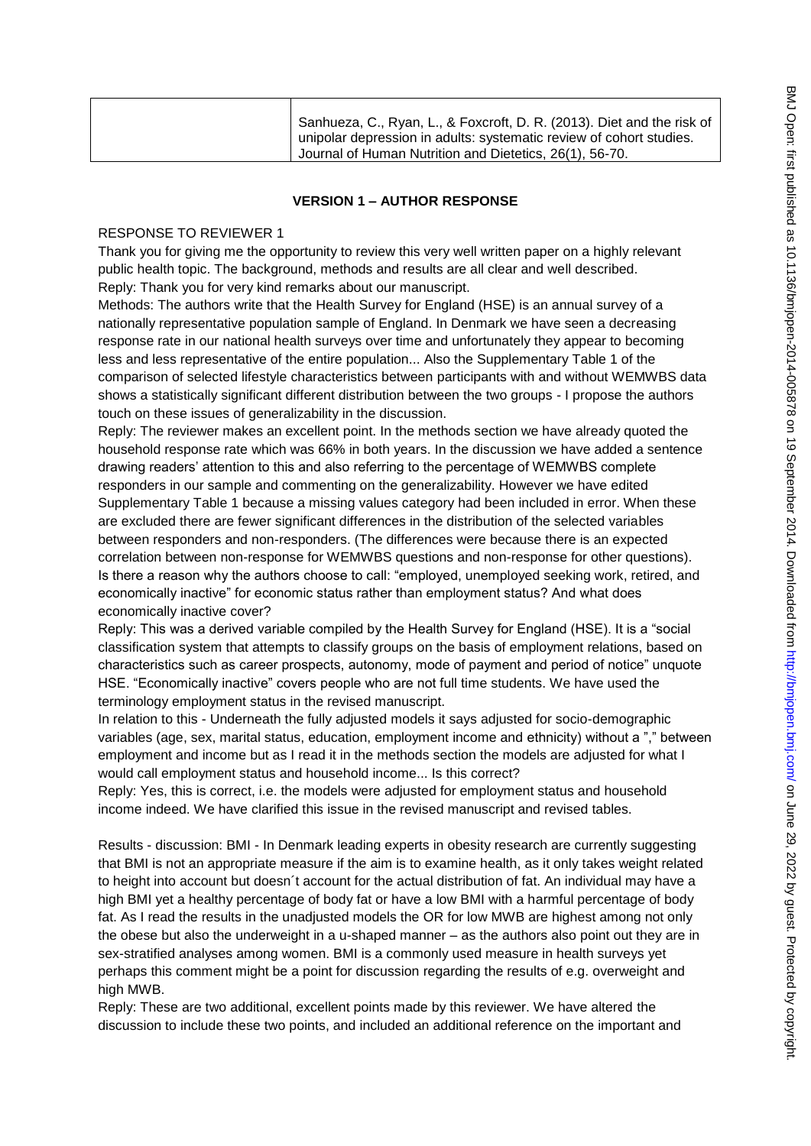| Sanhueza, C., Ryan, L., & Foxcroft, D. R. (2013). Diet and the risk of<br>unipolar depression in adults: systematic review of cohort studies.<br>Journal of Human Nutrition and Dietetics, 26(1), 56-70. |
|----------------------------------------------------------------------------------------------------------------------------------------------------------------------------------------------------------|
|----------------------------------------------------------------------------------------------------------------------------------------------------------------------------------------------------------|

#### **VERSION 1 – AUTHOR RESPONSE**

### RESPONSE TO REVIEWER 1

Thank you for giving me the opportunity to review this very well written paper on a highly relevant public health topic. The background, methods and results are all clear and well described. Reply: Thank you for very kind remarks about our manuscript.

Methods: The authors write that the Health Survey for England (HSE) is an annual survey of a nationally representative population sample of England. In Denmark we have seen a decreasing response rate in our national health surveys over time and unfortunately they appear to becoming less and less representative of the entire population... Also the Supplementary Table 1 of the comparison of selected lifestyle characteristics between participants with and without WEMWBS data shows a statistically significant different distribution between the two groups - I propose the authors touch on these issues of generalizability in the discussion.

Reply: The reviewer makes an excellent point. In the methods section we have already quoted the household response rate which was 66% in both years. In the discussion we have added a sentence drawing readers' attention to this and also referring to the percentage of WEMWBS complete responders in our sample and commenting on the generalizability. However we have edited Supplementary Table 1 because a missing values category had been included in error. When these are excluded there are fewer significant differences in the distribution of the selected variables between responders and non-responders. (The differences were because there is an expected correlation between non-response for WEMWBS questions and non-response for other questions). Is there a reason why the authors choose to call: "employed, unemployed seeking work, retired, and economically inactive" for economic status rather than employment status? And what does economically inactive cover?

Reply: This was a derived variable compiled by the Health Survey for England (HSE). It is a "social classification system that attempts to classify groups on the basis of employment relations, based on characteristics such as career prospects, autonomy, mode of payment and period of notice" unquote HSE. "Economically inactive" covers people who are not full time students. We have used the terminology employment status in the revised manuscript.

In relation to this - Underneath the fully adjusted models it says adjusted for socio-demographic variables (age, sex, marital status, education, employment income and ethnicity) without a "," between employment and income but as I read it in the methods section the models are adjusted for what I would call employment status and household income... Is this correct?

Reply: Yes, this is correct, i.e. the models were adjusted for employment status and household income indeed. We have clarified this issue in the revised manuscript and revised tables.

Results - discussion: BMI - In Denmark leading experts in obesity research are currently suggesting that BMI is not an appropriate measure if the aim is to examine health, as it only takes weight related to height into account but doesn´t account for the actual distribution of fat. An individual may have a high BMI yet a healthy percentage of body fat or have a low BMI with a harmful percentage of body fat. As I read the results in the unadjusted models the OR for low MWB are highest among not only the obese but also the underweight in a u-shaped manner – as the authors also point out they are in sex-stratified analyses among women. BMI is a commonly used measure in health surveys yet perhaps this comment might be a point for discussion regarding the results of e.g. overweight and high MWB.

Reply: These are two additional, excellent points made by this reviewer. We have altered the discussion to include these two points, and included an additional reference on the important and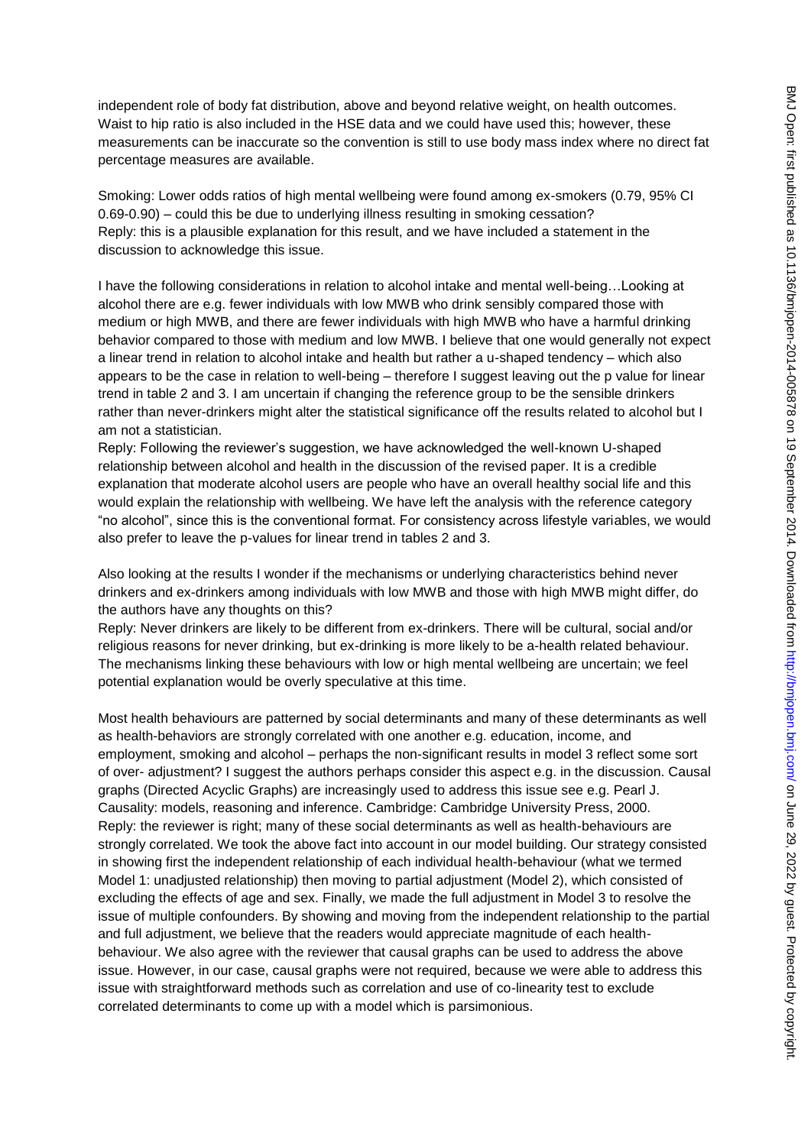Smoking: Lower odds ratios of high mental wellbeing were found among ex-smokers (0.79, 95% CI 0.69-0.90) – could this be due to underlying illness resulting in smoking cessation? Reply: this is a plausible explanation for this result, and we have included a statement in the discussion to acknowledge this issue.

I have the following considerations in relation to alcohol intake and mental well-being…Looking at alcohol there are e.g. fewer individuals with low MWB who drink sensibly compared those with medium or high MWB, and there are fewer individuals with high MWB who have a harmful drinking behavior compared to those with medium and low MWB. I believe that one would generally not expect a linear trend in relation to alcohol intake and health but rather a u-shaped tendency – which also appears to be the case in relation to well-being – therefore I suggest leaving out the p value for linear trend in table 2 and 3. I am uncertain if changing the reference group to be the sensible drinkers rather than never-drinkers might alter the statistical significance off the results related to alcohol but I am not a statistician.

Reply: Following the reviewer's suggestion, we have acknowledged the well-known U-shaped relationship between alcohol and health in the discussion of the revised paper. It is a credible explanation that moderate alcohol users are people who have an overall healthy social life and this would explain the relationship with wellbeing. We have left the analysis with the reference category "no alcohol", since this is the conventional format. For consistency across lifestyle variables, we would also prefer to leave the p-values for linear trend in tables 2 and 3.

Also looking at the results I wonder if the mechanisms or underlying characteristics behind never drinkers and ex-drinkers among individuals with low MWB and those with high MWB might differ, do the authors have any thoughts on this?

Reply: Never drinkers are likely to be different from ex-drinkers. There will be cultural, social and/or religious reasons for never drinking, but ex-drinking is more likely to be a-health related behaviour. The mechanisms linking these behaviours with low or high mental wellbeing are uncertain; we feel potential explanation would be overly speculative at this time.

Most health behaviours are patterned by social determinants and many of these determinants as well as health-behaviors are strongly correlated with one another e.g. education, income, and employment, smoking and alcohol – perhaps the non-significant results in model 3 reflect some sort of over- adjustment? I suggest the authors perhaps consider this aspect e.g. in the discussion. Causal graphs (Directed Acyclic Graphs) are increasingly used to address this issue see e.g. Pearl J. Causality: models, reasoning and inference. Cambridge: Cambridge University Press, 2000. Reply: the reviewer is right; many of these social determinants as well as health-behaviours are strongly correlated. We took the above fact into account in our model building. Our strategy consisted in showing first the independent relationship of each individual health-behaviour (what we termed Model 1: unadjusted relationship) then moving to partial adjustment (Model 2), which consisted of excluding the effects of age and sex. Finally, we made the full adjustment in Model 3 to resolve the issue of multiple confounders. By showing and moving from the independent relationship to the partial and full adjustment, we believe that the readers would appreciate magnitude of each healthbehaviour. We also agree with the reviewer that causal graphs can be used to address the above issue. However, in our case, causal graphs were not required, because we were able to address this issue with straightforward methods such as correlation and use of co-linearity test to exclude correlated determinants to come up with a model which is parsimonious.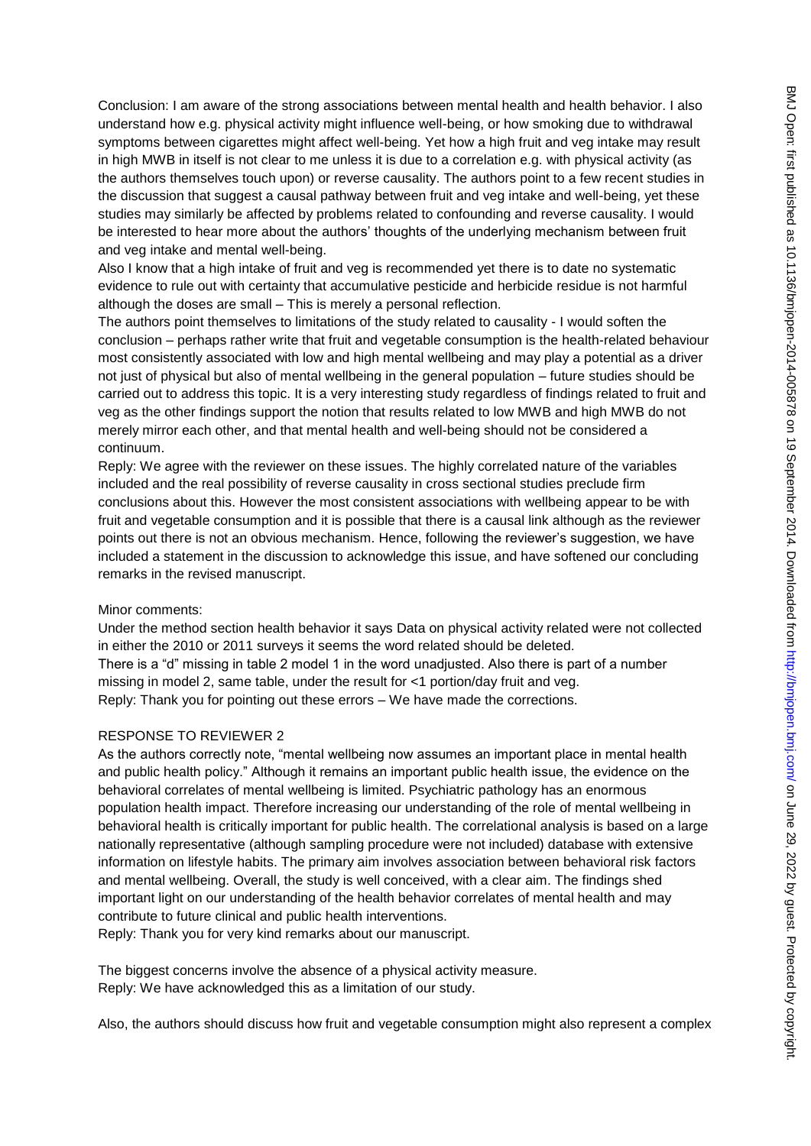Conclusion: I am aware of the strong associations between mental health and health behavior. I also understand how e.g. physical activity might influence well-being, or how smoking due to withdrawal symptoms between cigarettes might affect well-being. Yet how a high fruit and veg intake may result in high MWB in itself is not clear to me unless it is due to a correlation e.g. with physical activity (as the authors themselves touch upon) or reverse causality. The authors point to a few recent studies in the discussion that suggest a causal pathway between fruit and veg intake and well-being, yet these studies may similarly be affected by problems related to confounding and reverse causality. I would be interested to hear more about the authors' thoughts of the underlying mechanism between fruit and veg intake and mental well-being.

Also I know that a high intake of fruit and veg is recommended yet there is to date no systematic evidence to rule out with certainty that accumulative pesticide and herbicide residue is not harmful although the doses are small – This is merely a personal reflection.

The authors point themselves to limitations of the study related to causality - I would soften the conclusion – perhaps rather write that fruit and vegetable consumption is the health-related behaviour most consistently associated with low and high mental wellbeing and may play a potential as a driver not just of physical but also of mental wellbeing in the general population – future studies should be carried out to address this topic. It is a very interesting study regardless of findings related to fruit and veg as the other findings support the notion that results related to low MWB and high MWB do not merely mirror each other, and that mental health and well-being should not be considered a continuum.

Reply: We agree with the reviewer on these issues. The highly correlated nature of the variables included and the real possibility of reverse causality in cross sectional studies preclude firm conclusions about this. However the most consistent associations with wellbeing appear to be with fruit and vegetable consumption and it is possible that there is a causal link although as the reviewer points out there is not an obvious mechanism. Hence, following the reviewer's suggestion, we have included a statement in the discussion to acknowledge this issue, and have softened our concluding remarks in the revised manuscript.

#### Minor comments:

Under the method section health behavior it says Data on physical activity related were not collected in either the 2010 or 2011 surveys it seems the word related should be deleted. There is a "d" missing in table 2 model 1 in the word unadjusted. Also there is part of a number missing in model 2, same table, under the result for <1 portion/day fruit and veg. Reply: Thank you for pointing out these errors – We have made the corrections.

### RESPONSE TO REVIEWER 2

As the authors correctly note, "mental wellbeing now assumes an important place in mental health and public health policy." Although it remains an important public health issue, the evidence on the behavioral correlates of mental wellbeing is limited. Psychiatric pathology has an enormous population health impact. Therefore increasing our understanding of the role of mental wellbeing in behavioral health is critically important for public health. The correlational analysis is based on a large nationally representative (although sampling procedure were not included) database with extensive information on lifestyle habits. The primary aim involves association between behavioral risk factors and mental wellbeing. Overall, the study is well conceived, with a clear aim. The findings shed important light on our understanding of the health behavior correlates of mental health and may contribute to future clinical and public health interventions.

Reply: Thank you for very kind remarks about our manuscript.

The biggest concerns involve the absence of a physical activity measure. Reply: We have acknowledged this as a limitation of our study.

Also, the authors should discuss how fruit and vegetable consumption might also represent a complex